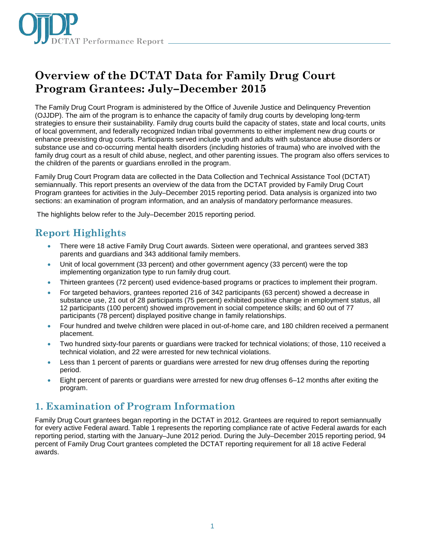

# **Overview of the DCTAT Data for Family Drug Court Program Grantees: July–December 2015**

The Family Drug Court Program is administered by the Office of Juvenile Justice and Delinquency Prevention (OJJDP). The aim of the program is to enhance the capacity of family drug courts by developing long-term strategies to ensure their sustainability. Family drug courts build the capacity of states, state and local courts, units of local government, and federally recognized Indian tribal governments to either implement new drug courts or enhance preexisting drug courts. Participants served include youth and adults with substance abuse disorders or substance use and co-occurring mental health disorders (including histories of trauma) who are involved with the family drug court as a result of child abuse, neglect, and other parenting issues. The program also offers services to the children of the parents or guardians enrolled in the program.

Family Drug Court Program data are collected in the Data Collection and Technical Assistance Tool (DCTAT) semiannually. This report presents an overview of the data from the DCTAT provided by Family Drug Court Program grantees for activities in the July–December 2015 reporting period. Data analysis is organized into two sections: an examination of program information, and an analysis of mandatory performance measures.

The highlights below refer to the July–December 2015 reporting period.

# **Report Highlights**

- There were 18 active Family Drug Court awards. Sixteen were operational, and grantees served 383 parents and guardians and 343 additional family members.
- Unit of local government (33 percent) and other government agency (33 percent) were the top implementing organization type to run family drug court.
- Thirteen grantees (72 percent) used evidence-based programs or practices to implement their program.
- For targeted behaviors, grantees reported 216 of 342 participants (63 percent) showed a decrease in substance use, 21 out of 28 participants (75 percent) exhibited positive change in employment status, all 12 participants (100 percent) showed improvement in social competence skills; and 60 out of 77 participants (78 percent) displayed positive change in family relationships.
- Four hundred and twelve children were placed in out-of-home care, and 180 children received a permanent placement.
- Two hundred sixty-four parents or guardians were tracked for technical violations; of those, 110 received a technical violation, and 22 were arrested for new technical violations.
- Less than 1 percent of parents or guardians were arrested for new drug offenses during the reporting period.
- Eight percent of parents or guardians were arrested for new drug offenses 6–12 months after exiting the program.

# **1. Examination of Program Information**

Family Drug Court grantees began reporting in the DCTAT in 2012. Grantees are required to report semiannually for every active Federal award. Table 1 represents the reporting compliance rate of active Federal awards for each reporting period, starting with the January–June 2012 period. During the July–December 2015 reporting period, 94 percent of Family Drug Court grantees completed the DCTAT reporting requirement for all 18 active Federal awards.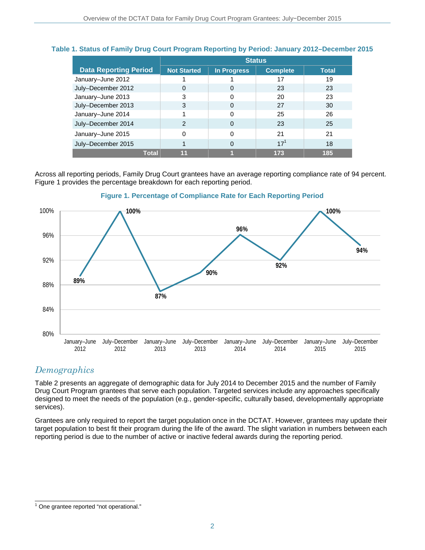|                              | <b>Status</b>      |             |                 |              |
|------------------------------|--------------------|-------------|-----------------|--------------|
| <b>Data Reporting Period</b> | <b>Not Started</b> | In Progress | <b>Complete</b> | <b>Total</b> |
| January-June 2012            |                    |             | 17              | 19           |
| July-December 2012           | 0                  | $\Omega$    | 23              | 23           |
| January-June 2013            | 3                  | 0           | 20              | 23           |
| July-December 2013           | 3                  | 0           | 27              | 30           |
| January-June 2014            |                    | 0           | 25              | 26           |
| July-December 2014           | 2                  | 0           | 23              | 25           |
| January-June 2015            | 0                  | 0           | 21              | 21           |
| July-December 2015           |                    | $\Omega$    | $17^{1}$        | 18           |
| Total                        | 11                 |             | 173             | 185          |

### **Table 1. Status of Family Drug Court Program Reporting by Period: January 2012–December 2015**

Across all reporting periods, Family Drug Court grantees have an average reporting compliance rate of 94 percent. Figure 1 provides the percentage breakdown for each reporting period.



#### **Figure 1. Percentage of Compliance Rate for Each Reporting Period**

### *Demographics*

Table 2 presents an aggregate of demographic data for July 2014 to December 2015 and the number of Family Drug Court Program grantees that serve each population. Targeted services include any approaches specifically designed to meet the needs of the population (e.g., gender-specific, culturally based, developmentally appropriate services).

Grantees are only required to report the target population once in the DCTAT. However, grantees may update their target population to best fit their program during the life of the award. The slight variation in numbers between each reporting period is due to the number of active or inactive federal awards during the reporting period.

<sup>1&</sup>lt;br><sup>1</sup> One grantee reported "not operational."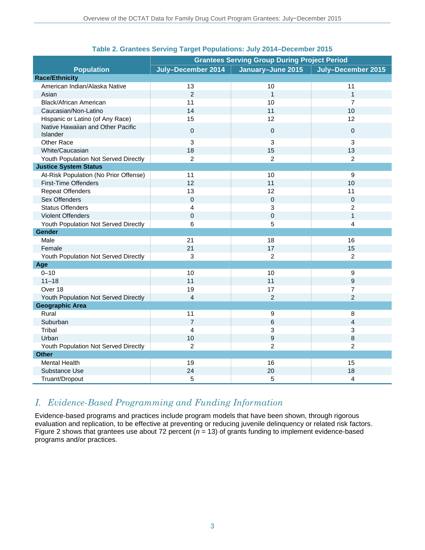|                                               | <b>Grantees Serving Group During Project Period</b> |                   |                    |
|-----------------------------------------------|-----------------------------------------------------|-------------------|--------------------|
| <b>Population</b>                             | July-December 2014                                  | January-June 2015 | July-December 2015 |
| <b>Race/Ethnicity</b>                         |                                                     |                   |                    |
| American Indian/Alaska Native                 | 13                                                  | 10                | 11                 |
| Asian                                         | $\overline{2}$                                      | $\mathbf{1}$      | $\mathbf{1}$       |
| Black/African American                        | 11                                                  | 10                | $\overline{7}$     |
| Caucasian/Non-Latino                          | 14                                                  | 11                | 10                 |
| Hispanic or Latino (of Any Race)              | 15                                                  | 12                | 12                 |
| Native Hawaiian and Other Pacific<br>Islander | 0                                                   | $\mathbf{0}$      | $\mathbf 0$        |
| <b>Other Race</b>                             | 3                                                   | 3                 | 3                  |
| White/Caucasian                               | 18                                                  | 15                | 13                 |
| Youth Population Not Served Directly          | $\overline{2}$                                      | $\overline{2}$    | 2                  |
| <b>Justice System Status</b>                  |                                                     |                   |                    |
| At-Risk Population (No Prior Offense)         | 11                                                  | 10                | 9                  |
| <b>First-Time Offenders</b>                   | 12                                                  | 11                | 10                 |
| <b>Repeat Offenders</b>                       | 13                                                  | 12                | 11                 |
| Sex Offenders                                 | $\mathbf 0$                                         | $\mathbf 0$       | $\mathbf 0$        |
| <b>Status Offenders</b>                       | 4                                                   | 3                 | $\overline{c}$     |
| <b>Violent Offenders</b>                      | 0                                                   | $\pmb{0}$         | $\mathbf{1}$       |
| Youth Population Not Served Directly          | 6                                                   | 5                 | 4                  |
| Gender                                        |                                                     |                   |                    |
| Male                                          | 21                                                  | 18                | 16                 |
| Female                                        | 21                                                  | 17                | 15                 |
| Youth Population Not Served Directly          | 3                                                   | $\overline{2}$    | $\overline{2}$     |
| Age                                           |                                                     |                   |                    |
| $0 - 10$                                      | 10                                                  | 10                | 9                  |
| $11 - 18$                                     | 11                                                  | 11                | 9                  |
| Over 18                                       | 19                                                  | 17                | $\overline{7}$     |
| Youth Population Not Served Directly          | $\overline{4}$                                      | $\overline{2}$    | $\overline{2}$     |
| <b>Geographic Area</b>                        |                                                     |                   |                    |
| Rural                                         | 11                                                  | 9                 | 8                  |
| Suburban                                      | $\overline{7}$                                      | 6                 | $\overline{4}$     |
| Tribal                                        | 4                                                   | 3                 | 3                  |
| Urban                                         | 10                                                  | 9                 | 8                  |
| Youth Population Not Served Directly          | $\overline{2}$                                      | $\overline{2}$    | $\overline{2}$     |
| <b>Other</b>                                  |                                                     |                   |                    |
| <b>Mental Health</b>                          | 19                                                  | 16                | 15                 |
| Substance Use                                 | 24                                                  | 20                | 18                 |
| Truant/Dropout                                | 5                                                   | 5                 | 4                  |

#### **Table 2. Grantees Serving Target Populations: July 2014–December 2015**

### *I. Evidence-Based Programming and Funding Information*

Evidence-based programs and practices include program models that have been shown, through rigorous evaluation and replication, to be effective at preventing or reducing juvenile delinquency or related risk factors. Figure 2 shows that grantees use about 72 percent ( $n = 13$ ) of grants funding to implement evidence-based programs and/or practices.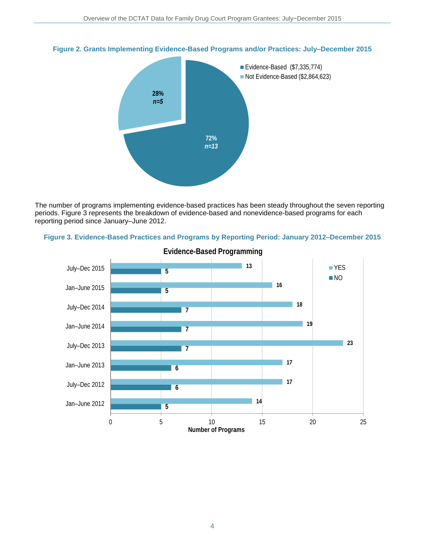

#### **Figure 2. Grants Implementing Evidence-Based Programs and/or Practices: July–December 2015**

The number of programs implementing evidence-based practices has been steady throughout the seven reporting periods. Figure 3 represents the breakdown of evidence-based and nonevidence-based programs for each reporting period since January–June 2012.





**Evidence-Based Programming**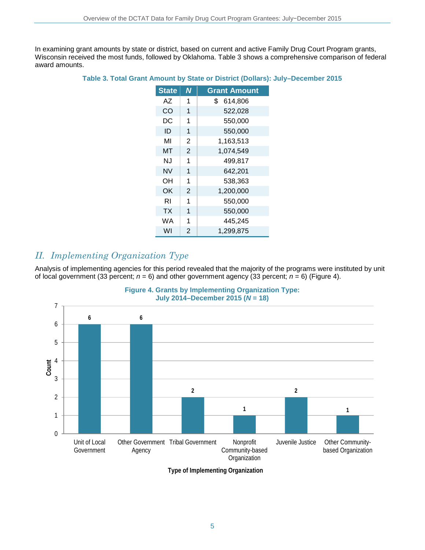In examining grant amounts by state or district, based on current and active Family Drug Court Program grants, Wisconsin received the most funds, followed by Oklahoma. Table 3 shows a comprehensive comparison of federal award amounts.

#### **Table 3. Total Grant Amount by State or District (Dollars): July–December 2015**

| <b>State</b> | N              | <b>Grant Amount</b> |
|--------------|----------------|---------------------|
| AZ           | 1              | \$<br>614,806       |
| CO           | 1              | 522,028             |
| DC           | 1              | 550,000             |
| ID           | 1              | 550,000             |
| MI           | 2              | 1,163,513           |
| мт           | $\overline{2}$ | 1,074,549           |
| N.J          | 1              | 499,817             |
| NV           | 1              | 642,201             |
| ΟH           | 1              | 538,363             |
| ΟK           | 2              | 1,200,000           |
| RI           | 1              | 550,000             |
| ТX           | 1              | 550,000             |
| WA           | 1              | 445,245             |
| WI           | 2              | 1,299,875           |

### *II. Implementing Organization Type*

Analysis of implementing agencies for this period revealed that the majority of the programs were instituted by unit of local government (33 percent;  $n = 6$ ) and other government agency (33 percent;  $n = 6$ ) (Figure 4).





**Type of Implementing Organization**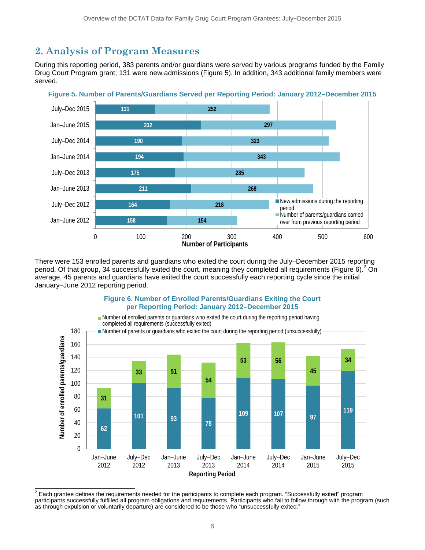# **2. Analysis of Program Measures**

During this reporting period, 383 parents and/or guardians were served by various programs funded by the Family Drug Court Program grant; 131 were new admissions (Figure 5). In addition, 343 additional family members were served.



**Figure 5. Number of Parents/Guardians Served per Reporting Period: January 2012–December 2015**

There were 153 enrolled parents and guardians who exited the court during the July–December 2015 reporting period. Of that group, 34 successfully exited the court, meaning they completed all requirements (Figure 6). <sup>2</sup> On average, 45 parents and guardians have exited the court successfully each reporting cycle since the initial January–June 2012 reporting period.



**Figure 6. Number of Enrolled Parents/Guardians Exiting the Court** 

 $^2$  Each grantee defines the requirements needed for the participants to complete each program. "Successfully exited" program participants successfully fulfilled all program obligations and requirements. Participants who fail to follow through with the program (such as through expulsion or voluntarily departure) are considered to be those who "unsuccessfully exited."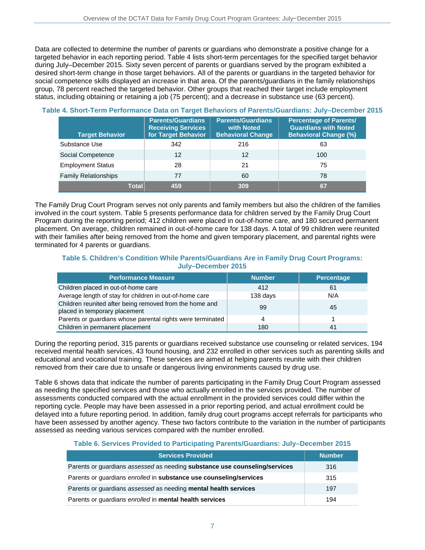Data are collected to determine the number of parents or guardians who demonstrate a positive change for a targeted behavior in each reporting period. Table 4 lists short-term percentages for the specified target behavior during July–December 2015. Sixty seven percent of parents or guardians served by the program exhibited a desired short-term change in those target behaviors. All of the parents or guardians in the targeted behavior for social competence skills displayed an increase in that area. Of the parents/guardians in the family relationships group, 78 percent reached the targeted behavior. Other groups that reached their target include employment status, including obtaining or retaining a job (75 percent); and a decrease in substance use (63 percent).

| <b>Target Behavior</b>      | <b>Parents/Guardians</b><br><b>Receiving Services</b><br>for Target Behavior | <b>Parents/Guardians</b><br>with Noted<br><b>Behavioral Change</b> | <b>Percentage of Parents/</b><br><b>Guardians with Noted</b><br><b>Behavioral Change (%)</b> |
|-----------------------------|------------------------------------------------------------------------------|--------------------------------------------------------------------|----------------------------------------------------------------------------------------------|
| Substance Use               | 342                                                                          | 216                                                                | 63                                                                                           |
| Social Competence           | 12                                                                           | 12                                                                 | 100                                                                                          |
| <b>Employment Status</b>    | 28                                                                           | 21                                                                 | 75                                                                                           |
| <b>Family Relationships</b> | 77                                                                           | 60                                                                 | 78                                                                                           |
| Total                       | 459                                                                          | 309                                                                | 67                                                                                           |

#### **Table 4. Short-Term Performance Data on Target Behaviors of Parents/Guardians: July–December 2015**

The Family Drug Court Program serves not only parents and family members but also the children of the families involved in the court system. Table 5 presents performance data for children served by the Family Drug Court Program during the reporting period; 412 children were placed in out-of-home care, and 180 secured permanent placement. On average, children remained in out-of-home care for 138 days. A total of 99 children were reunited with their families after being removed from the home and given temporary placement, and parental rights were terminated for 4 parents or guardians.

#### **Table 5. Children's Condition While Parents/Guardians Are in Family Drug Court Programs: July–December 2015**

| <b>Performance Measure</b>                                                               | <b>Number</b> | Percentage |
|------------------------------------------------------------------------------------------|---------------|------------|
| Children placed in out-of-home care                                                      | 412           | 61         |
| Average length of stay for children in out-of-home care                                  | 138 days      | N/A        |
| Children reunited after being removed from the home and<br>placed in temporary placement | 99            | 45         |
| Parents or guardians whose parental rights were terminated                               | 4             |            |
| Children in permanent placement                                                          | 180           | 41         |

During the reporting period, 315 parents or guardians received substance use counseling or related services, 194 received mental health services, 43 found housing, and 232 enrolled in other services such as parenting skills and educational and vocational training. These services are aimed at helping parents reunite with their children removed from their care due to unsafe or dangerous living environments caused by drug use.

Table 6 shows data that indicate the number of parents participating in the Family Drug Court Program assessed as needing the specified services and those who actually enrolled in the services provided. The number of assessments conducted compared with the actual enrollment in the provided services could differ within the reporting cycle. People may have been assessed in a prior reporting period, and actual enrollment could be delayed into a future reporting period. In addition, family drug court programs accept referrals for participants who have been assessed by another agency. These two factors contribute to the variation in the number of participants assessed as needing various services compared with the number enrolled.

#### **Table 6. Services Provided to Participating Parents/Guardians: July–December 2015**

| <b>Services Provided</b>                                                   | <b>Number</b> |
|----------------------------------------------------------------------------|---------------|
| Parents or guardians assessed as needing substance use counseling/services | 316           |
| Parents or guardians enrolled in substance use counseling/services         | 315           |
| Parents or guardians assessed as needing mental health services            | 197           |
| Parents or guardians enrolled in mental health services                    | 194           |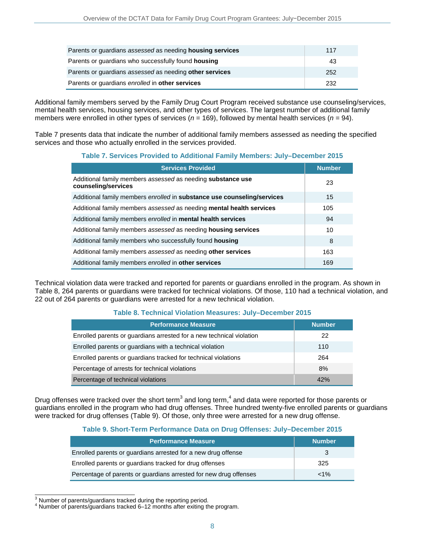| Parents or guardians assessed as needing housing services | 117 |
|-----------------------------------------------------------|-----|
| Parents or guardians who successfully found housing       | 43  |
| Parents or quardians assessed as needing other services   | 252 |
| Parents or guardians enrolled in other services           | 232 |

Additional family members served by the Family Drug Court Program received substance use counseling/services, mental health services, housing services, and other types of services. The largest number of additional family members were enrolled in other types of services (*n* = 169), followed by mental health services (*n* = 94).

Table 7 presents data that indicate the number of additional family members assessed as needing the specified services and those who actually enrolled in the services provided.

#### **Table 7. Services Provided to Additional Family Members: July–December 2015**

| <b>Services Provided</b>                                                                  | <b>Number</b> |
|-------------------------------------------------------------------------------------------|---------------|
| Additional family members assessed as needing <b>substance use</b><br>counseling/services | 23            |
| Additional family members enrolled in substance use counseling/services                   | 15            |
| Additional family members assessed as needing <b>mental health services</b>               | 105           |
| Additional family members enrolled in mental health services                              | 94            |
| Additional family members assessed as needing <b>housing services</b>                     | 10            |
| Additional family members who successfully found housing                                  | 8             |
| Additional family members assessed as needing other services                              | 163           |
| Additional family members enrolled in other services                                      | 169           |

Technical violation data were tracked and reported for parents or guardians enrolled in the program. As shown in Table 8, 264 parents or guardians were tracked for technical violations. Of those, 110 had a technical violation, and 22 out of 264 parents or guardians were arrested for a new technical violation.

#### **Table 8. Technical Violation Measures: July–December 2015**

| <b>Performance Measure</b>                                           | <b>Number</b> |
|----------------------------------------------------------------------|---------------|
| Enrolled parents or guardians arrested for a new technical violation | 22            |
| Enrolled parents or guardians with a technical violation             | 110           |
| Enrolled parents or guardians tracked for technical violations       | 264           |
| Percentage of arrests for technical violations                       | 8%            |
| Percentage of technical violations                                   | 42%           |

Drug offenses were tracked over the short term<sup>3</sup> and long term,<sup>4</sup> and data were reported for those parents or guardians enrolled in the program who had drug offenses. Three hundred twenty-five enrolled parents or guardians were tracked for drug offenses (Table 9). Of those, only three were arrested for a new drug offense.

#### **Table 9. Short-Term Performance Data on Drug Offenses: July–December 2015**

| <b>Performance Measure</b>                                        | <b>Number</b> |
|-------------------------------------------------------------------|---------------|
| Enrolled parents or guardians arrested for a new drug offense     | 3             |
| Enrolled parents or guardians tracked for drug offenses           | 325           |
| Percentage of parents or guardians arrested for new drug offenses | $< 1\%$       |

<sup>3</sup> Number of parents/guardians tracked during the reporting period.

<sup>4</sup> Number of parents/guardians tracked 6–12 months after exiting the program.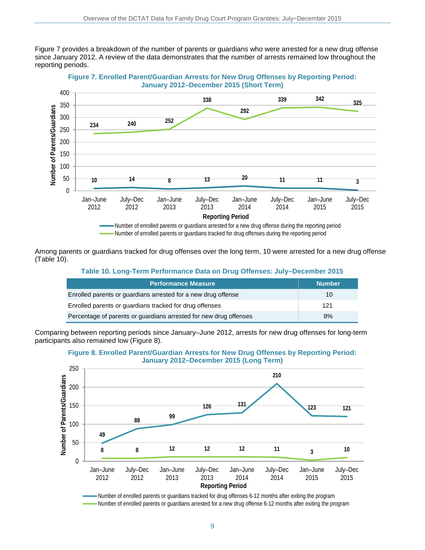Figure 7 provides a breakdown of the number of parents or guardians who were arrested for a new drug offense since January 2012. A review of the data demonstrates that the number of arrests remained low throughout the reporting periods.



**Figure 7. Enrolled Parent/Guardian Arrests for New Drug Offenses by Reporting Period: January 2012–December 2015 (Short Term)**

Among parents or guardians tracked for drug offenses over the long term, 10 were arrested for a new drug offense (Table 10).

#### **Table 10. Long-Term Performance Data on Drug Offenses: July–December 2015**

| <b>Performance Measure</b>                                        | <b>Number</b> |
|-------------------------------------------------------------------|---------------|
| Enrolled parents or guardians arrested for a new drug offense     | 10            |
| Enrolled parents or quardians tracked for drug offenses           | 121           |
| Percentage of parents or guardians arrested for new drug offenses | 8%            |

Comparing between reporting periods since January–June 2012, arrests for new drug offenses for long-term participants also remained low (Figure 8).



#### **Figure 8. Enrolled Parent/Guardian Arrests for New Drug Offenses by Reporting Period: January 2012–December 2015 (Long Term)**

Number of enrolled parents or guardians tracked for drug offenses 6-12 months after exiting the program Number of enrolled parents or guardians arrested for a new drug offense 6-12 months after exiting the program